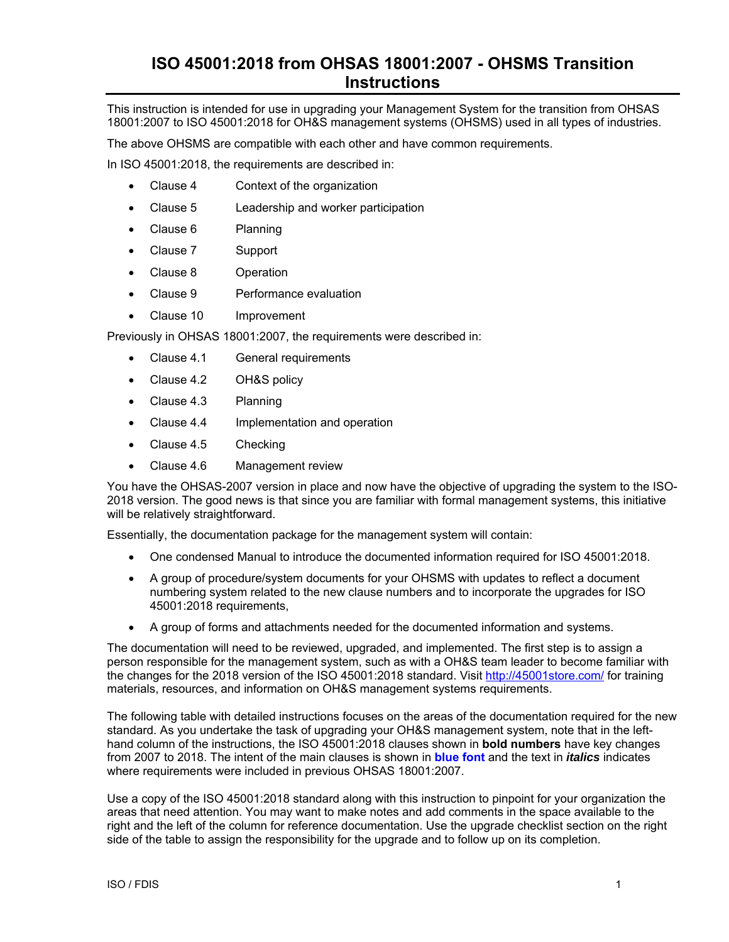## **ISO 45001:2018 from OHSAS 18001:2007 - OHSMS Transition Instructions**

This instruction is intended for use in upgrading your Management System for the transition from OHSAS 18001:2007 to ISO 45001:2018 for OH&S management systems (OHSMS) used in all types of industries.

The above OHSMS are compatible with each other and have common requirements.

In ISO 45001:2018, the requirements are described in:

- Clause 4 Context of the organization
- Clause 5 Leadership and worker participation
- Clause 6 Planning
- Clause 7 Support
- Clause 8 Operation
- Clause 9 Performance evaluation
- Clause 10 Improvement

Previously in OHSAS 18001:2007, the requirements were described in:

- Clause 4.1 General requirements
- Clause 4.2 OH&S policy
- Clause 4.3 Planning
- Clause 4.4 Implementation and operation
- Clause 4.5 Checking
- Clause 4.6 Management review

You have the OHSAS-2007 version in place and now have the objective of upgrading the system to the ISO-2018 version. The good news is that since you are familiar with formal management systems, this initiative will be relatively straightforward.

Essentially, the documentation package for the management system will contain:

- One condensed Manual to introduce the documented information required for ISO 45001:2018.
- A group of procedure/system documents for your OHSMS with updates to reflect a document numbering system related to the new clause numbers and to incorporate the upgrades for ISO 45001:2018 requirements,
- A group of forms and attachments needed for the documented information and systems.

The documentation will need to be reviewed, upgraded, and implemented. The first step is to assign a person responsible for the management system, such as with a OH&S team leader to become familiar with the changes for the 2018 version of the ISO 45001:2018 standard. Visit http://45001store.com/ for training materials, resources, and information on OH&S management systems requirements.

The following table with detailed instructions focuses on the areas of the documentation required for the new standard. As you undertake the task of upgrading your OH&S management system, note that in the lefthand column of the instructions, the ISO 45001:2018 clauses shown in **bold numbers** have key changes from 2007 to 2018. The intent of the main clauses is shown in **blue font** and the text in *italics* indicates where requirements were included in previous OHSAS 18001:2007.

Use a copy of the ISO 45001:2018 standard along with this instruction to pinpoint for your organization the areas that need attention. You may want to make notes and add comments in the space available to the right and the left of the column for reference documentation. Use the upgrade checklist section on the right side of the table to assign the responsibility for the upgrade and to follow up on its completion.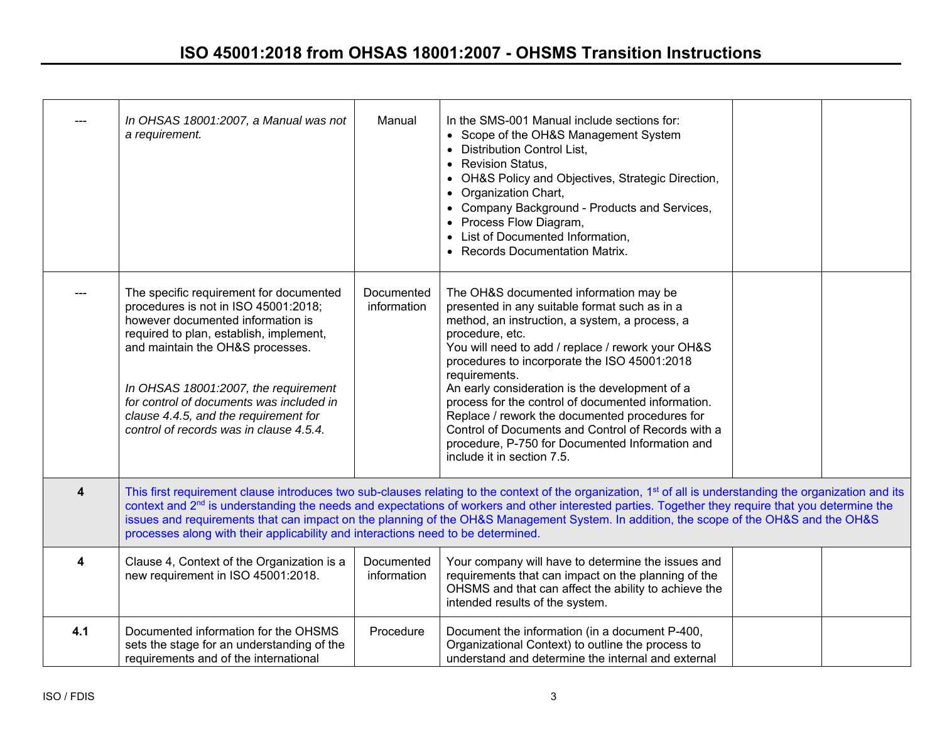## **ISO 45001:2018 from OHSAS 18001:2007 - OHSMS Transition Instructions**

|                         | In OHSAS 18001:2007, a Manual was not<br>a requirement.                                                                                                                                                                                                                                                                                                                                                                                                                                                                                                               | Manual                    | In the SMS-001 Manual include sections for:<br>• Scope of the OH&S Management System<br><b>Distribution Control List,</b><br>$\bullet$<br><b>Revision Status,</b><br>$\bullet$<br>• OH&S Policy and Objectives, Strategic Direction,<br>Organization Chart,<br>$\bullet$<br>• Company Background - Products and Services,<br>• Process Flow Diagram,<br>• List of Documented Information,<br><b>Records Documentation Matrix.</b>                                                                                                                                                   |  |  |  |  |
|-------------------------|-----------------------------------------------------------------------------------------------------------------------------------------------------------------------------------------------------------------------------------------------------------------------------------------------------------------------------------------------------------------------------------------------------------------------------------------------------------------------------------------------------------------------------------------------------------------------|---------------------------|-------------------------------------------------------------------------------------------------------------------------------------------------------------------------------------------------------------------------------------------------------------------------------------------------------------------------------------------------------------------------------------------------------------------------------------------------------------------------------------------------------------------------------------------------------------------------------------|--|--|--|--|
|                         | The specific requirement for documented<br>procedures is not in ISO 45001:2018;<br>however documented information is<br>required to plan, establish, implement,<br>and maintain the OH&S processes.<br>In OHSAS 18001:2007, the requirement<br>for control of documents was included in<br>clause 4.4.5, and the requirement for<br>control of records was in clause 4.5.4.                                                                                                                                                                                           | Documented<br>information | The OH&S documented information may be<br>presented in any suitable format such as in a<br>method, an instruction, a system, a process, a<br>procedure, etc.<br>You will need to add / replace / rework your OH&S<br>procedures to incorporate the ISO 45001:2018<br>requirements.<br>An early consideration is the development of a<br>process for the control of documented information.<br>Replace / rework the documented procedures for<br>Control of Documents and Control of Records with a<br>procedure, P-750 for Documented Information and<br>include it in section 7.5. |  |  |  |  |
| $\overline{\mathbf{4}}$ | This first requirement clause introduces two sub-clauses relating to the context of the organization, 1 <sup>st</sup> of all is understanding the organization and its<br>context and 2 <sup>nd</sup> is understanding the needs and expectations of workers and other interested parties. Together they require that you determine the<br>issues and requirements that can impact on the planning of the OH&S Management System. In addition, the scope of the OH&S and the OH&S<br>processes along with their applicability and interactions need to be determined. |                           |                                                                                                                                                                                                                                                                                                                                                                                                                                                                                                                                                                                     |  |  |  |  |
| 4                       | Clause 4, Context of the Organization is a<br>new requirement in ISO 45001:2018.                                                                                                                                                                                                                                                                                                                                                                                                                                                                                      | Documented<br>information | Your company will have to determine the issues and<br>requirements that can impact on the planning of the<br>OHSMS and that can affect the ability to achieve the<br>intended results of the system.                                                                                                                                                                                                                                                                                                                                                                                |  |  |  |  |
| 4.1                     | Documented information for the OHSMS<br>sets the stage for an understanding of the<br>requirements and of the international                                                                                                                                                                                                                                                                                                                                                                                                                                           | Procedure                 | Document the information (in a document P-400,<br>Organizational Context) to outline the process to<br>understand and determine the internal and external                                                                                                                                                                                                                                                                                                                                                                                                                           |  |  |  |  |